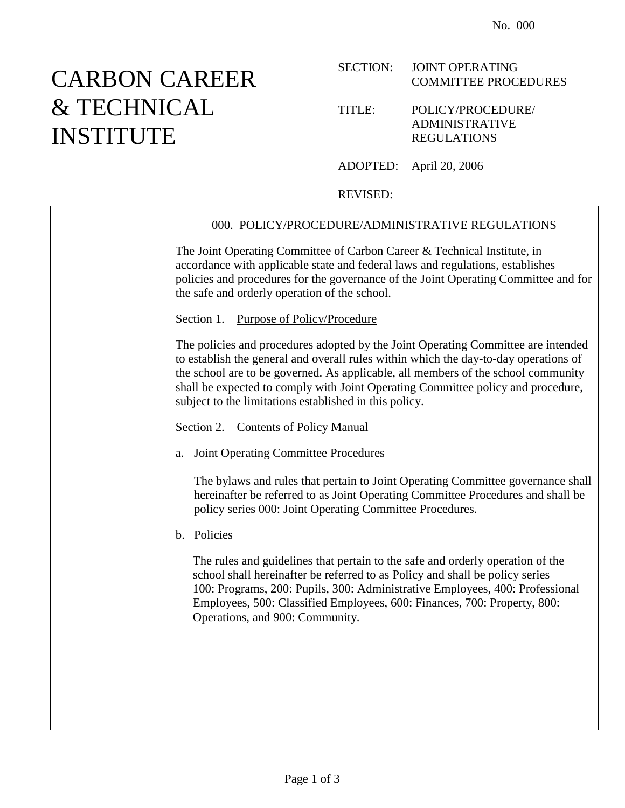## CARBON CAREER & TECHNICAL INSTITUTE

## SECTION: JOINT OPERATING COMMITTEE PROCEDURES

## TITLE: POLICY/PROCEDURE/ ADMINISTRATIVE REGULATIONS

ADOPTED: April 20, 2006

## REVISED:

| 000. POLICY/PROCEDURE/ADMINISTRATIVE REGULATIONS                                                                                                                                                                                                                                                                                                                                                             |
|--------------------------------------------------------------------------------------------------------------------------------------------------------------------------------------------------------------------------------------------------------------------------------------------------------------------------------------------------------------------------------------------------------------|
| The Joint Operating Committee of Carbon Career & Technical Institute, in<br>accordance with applicable state and federal laws and regulations, establishes<br>policies and procedures for the governance of the Joint Operating Committee and for<br>the safe and orderly operation of the school.                                                                                                           |
| Section 1. Purpose of Policy/Procedure                                                                                                                                                                                                                                                                                                                                                                       |
| The policies and procedures adopted by the Joint Operating Committee are intended<br>to establish the general and overall rules within which the day-to-day operations of<br>the school are to be governed. As applicable, all members of the school community<br>shall be expected to comply with Joint Operating Committee policy and procedure,<br>subject to the limitations established in this policy. |
| Section 2. Contents of Policy Manual                                                                                                                                                                                                                                                                                                                                                                         |
| <b>Joint Operating Committee Procedures</b><br>a.                                                                                                                                                                                                                                                                                                                                                            |
| The bylaws and rules that pertain to Joint Operating Committee governance shall<br>hereinafter be referred to as Joint Operating Committee Procedures and shall be<br>policy series 000: Joint Operating Committee Procedures.                                                                                                                                                                               |
| b. Policies                                                                                                                                                                                                                                                                                                                                                                                                  |
| The rules and guidelines that pertain to the safe and orderly operation of the<br>school shall hereinafter be referred to as Policy and shall be policy series<br>100: Programs, 200: Pupils, 300: Administrative Employees, 400: Professional<br>Employees, 500: Classified Employees, 600: Finances, 700: Property, 800:<br>Operations, and 900: Community.                                                |
|                                                                                                                                                                                                                                                                                                                                                                                                              |
|                                                                                                                                                                                                                                                                                                                                                                                                              |
|                                                                                                                                                                                                                                                                                                                                                                                                              |
|                                                                                                                                                                                                                                                                                                                                                                                                              |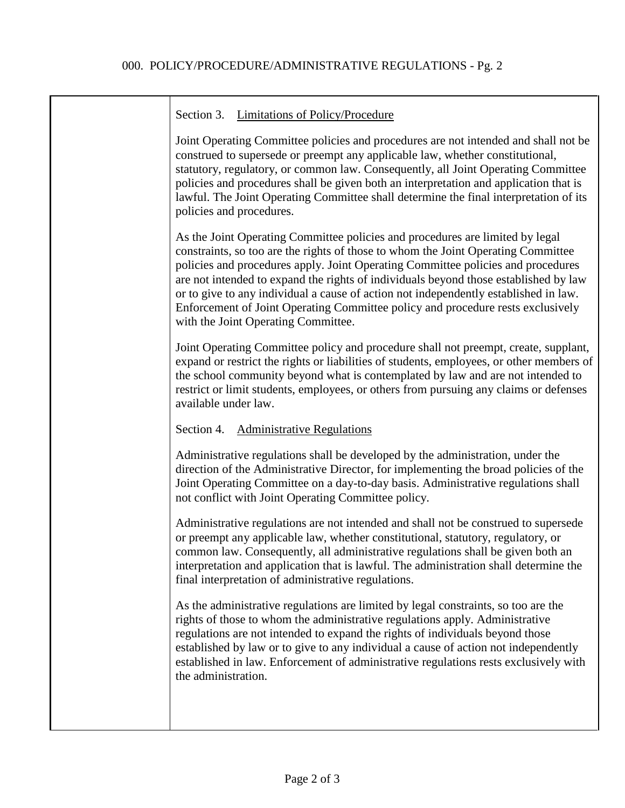